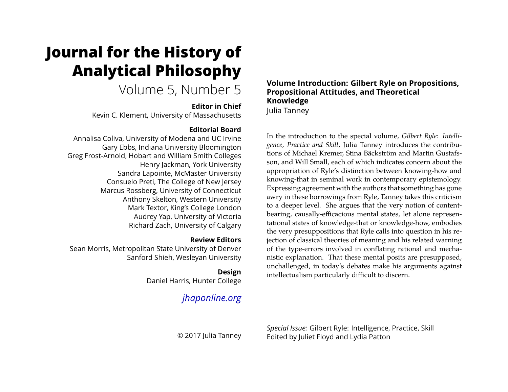# **Journal for the History of Analytical Philosophy**

# Volume 5, Number 5

#### **Editor in Chief**

Kevin C. Klement, University of Massachusetts

### **Editorial Board**

Annalisa Coliva, University of Modena and UC Irvine Gary Ebbs, Indiana University Bloomington Greg Frost-Arnold, Hobart and William Smith Colleges Henry Jackman, York University Sandra Lapointe, McMaster University Consuelo Preti, The College of New Jersey Marcus Rossberg, University of Connecticut Anthony Skelton, Western University Mark Textor, King's College London Audrey Yap, University of Victoria Richard Zach, University of Calgary

### **Review Editors**

Sean Morris, Metropolitan State University of Denver Sanford Shieh, Wesleyan University

## **Design**

Daniel Harris, Hunter College

# *[jhaponline.org](https://jhaponline.org)*

# **Volume Introduction: Gilbert Ryle on Propositions, Propositional Attitudes, and Theoretical Knowledge**

Julia Tanney

In the introduction to the special volume, *Gilbert Ryle: Intelligence, Practice and Skill*, Julia Tanney introduces the contributions of Michael Kremer, Stina Bäckström and Martin Gustafsson, and Will Small, each of which indicates concern about the appropriation of Ryle's distinction between knowing-how and knowing-that in seminal work in contemporary epistemology. Expressing agreement with the authors that something has gone awry in these borrowings from Ryle, Tanney takes this criticism to a deeper level. She argues that the very notion of contentbearing, causally-efficacious mental states, let alone representational states of knowledge-that or knowledge-how, embodies the very presuppositions that Ryle calls into question in his rejection of classical theories of meaning and his related warning of the type-errors involved in conflating rational and mechanistic explanation. That these mental posits are presupposed, unchallenged, in today's debates make his arguments against intellectualism particularly difficult to discern.

© 2017 Julia Tanney

*Special Issue:* Gilbert Ryle: Intelligence, Practice, Skill Edited by Juliet Floyd and Lydia Patton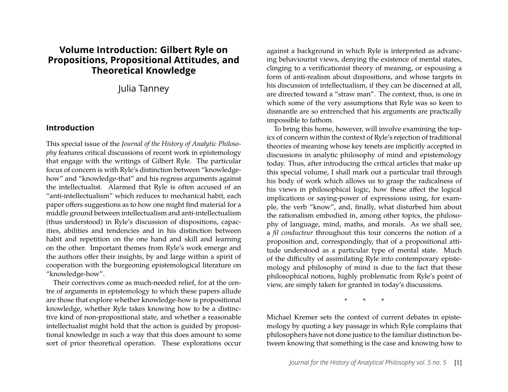# **Volume Introduction: Gilbert Ryle on Propositions, Propositional Attitudes, and Theoretical Knowledge**

Julia Tanney

#### **Introduction**

This special issue of the *Journal of the History of Analytic Philosophy* features critical discussions of recent work in epistemology that engage with the writings of Gilbert Ryle. The particular focus of concern is with Ryle's distinction between "knowledgehow" and "knowledge-that" and his regress arguments against the intellectualist. Alarmed that Ryle is often accused of an "anti-intellectualism" which reduces to mechanical habit, each paper offers suggestions as to how one might find material for a middle ground between intellectualism and anti-intellectualism (thus understood) in Ryle's discussion of dispositions, capacities, abilities and tendencies and in his distinction between habit and repetition on the one hand and skill and learning on the other. Important themes from Ryle's work emerge and the authors offer their insights, by and large within a spirit of cooperation with the burgeoning epistemological literature on "knowledge-how".

Their correctives come as much-needed relief, for at the centre of arguments in epistemology to which these papers allude are those that explore whether knowledge-how is propositional knowledge, whether Ryle takes knowing how to be a distinctive kind of non-propositional state, and whether a reasonable intellectualist might hold that the action is guided by propositional knowledge in such a way that this does amount to some sort of prior theoretical operation. These explorations occur

against a background in which Ryle is interpreted as advancing behaviourist views, denying the existence of mental states, clinging to a verificationist theory of meaning, or espousing a form of anti-realism about dispositions, and whose targets in his discussion of intellectualism, if they can be discerned at all, are directed toward a "straw man". The context, thus, is one in which some of the very assumptions that Ryle was so keen to dismantle are so entrenched that his arguments are practically impossible to fathom.

To bring this home, however, will involve examining the topics of concern within the context of Ryle's rejection of traditional theories of meaning whose key tenets are implicitly accepted in discussions in analytic philosophy of mind and epistemology today. Thus, after introducing the critical articles that make up this special volume, I shall mark out a particular trail through his body of work which allows us to grasp the radicalness of his views in philosophical logic, how these affect the logical implications or saying-power of expressions using, for example, the verb "know", and, finally, what disturbed him about the rationalism embodied in, among other topics, the philosophy of language, mind, maths, and morals. As we shall see, a *fil conducteur* throughout this tour concerns the notion of a proposition and, correspondingly, that of a propositional attitude understood as a particular type of mental state. Much of the difficulty of assimilating Ryle into contemporary epistemology and philosophy of mind is due to the fact that these philosophical notions, highly problematic from Ryle's point of view, are simply taken for granted in today's discussions.

\* \* \*

Michael Kremer sets the context of current debates in epistemology by quoting a key passage in which Ryle complains that philosophers have not done justice to the familiar distinction between knowing that something is the case and knowing how to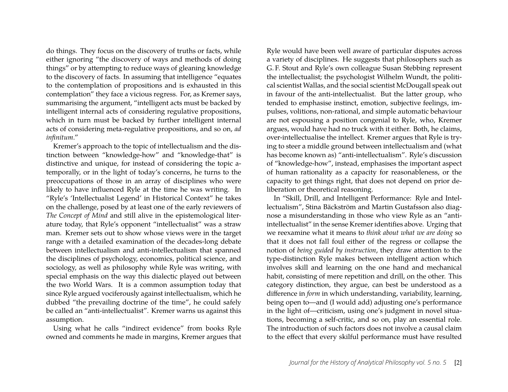do things. They focus on the discovery of truths or facts, while either ignoring "the discovery of ways and methods of doing things" or by attempting to reduce ways of gleaning knowledge to the discovery of facts. In assuming that intelligence "equates to the contemplation of propositions and is exhausted in this contemplation" they face a vicious regress. For, as Kremer says, summarising the argument, "intelligent acts must be backed by intelligent internal acts of considering regulative propositions, which in turn must be backed by further intelligent internal acts of considering meta-regulative propositions, and so on, *ad infinitum*."

Kremer's approach to the topic of intellectualism and the distinction between "knowledge-how" and "knowledge-that" is distinctive and unique, for instead of considering the topic atemporally, or in the light of today's concerns, he turns to the preoccupations of those in an array of disciplines who were likely to have influenced Ryle at the time he was writing. In "Ryle's 'Intellectualist Legend' in Historical Context" he takes on the challenge, posed by at least one of the early reviewers of *The Concept of Mind* and still alive in the epistemological literature today, that Ryle's opponent "intellectualist" was a straw man. Kremer sets out to show whose views were in the target range with a detailed examination of the decades-long debate between intellectualism and anti-intellectualism that spanned the disciplines of psychology, economics, political science, and sociology, as well as philosophy while Ryle was writing, with special emphasis on the way this dialectic played out between the two World Wars. It is a common assumption today that since Ryle argued vociferously against intellectualism, which he dubbed "the prevailing doctrine of the time", he could safely be called an "anti-intellectualist". Kremer warns us against this assumption.

Using what he calls "indirect evidence" from books Ryle owned and comments he made in margins, Kremer argues that

Ryle would have been well aware of particular disputes across a variety of disciplines. He suggests that philosophers such as G. F. Stout and Ryle's own colleague Susan Stebbing represent the intellectualist; the psychologist Wilhelm Wundt, the political scientist Wallas, and the social scientist McDougall speak out in favour of the anti-intellectualist. But the latter group, who tended to emphasise instinct, emotion, subjective feelings, impulses, volitions, non-rational, and simple automatic behaviour are not espousing a position congenial to Ryle, who, Kremer argues, would have had no truck with it either. Both, he claims, over-intellectualise the intellect. Kremer argues that Ryle is trying to steer a middle ground between intellectualism and (what has become known as) "anti-intellectualism". Ryle's discussion of "knowledge-how", instead, emphasises the important aspect of human rationality as a capacity for reasonableness, or the capacity to get things right, that does not depend on prior deliberation or theoretical reasoning.

In "Skill, Drill, and Intelligent Performance: Ryle and Intellectualism", Stina Bäckström and Martin Gustafsson also diagnose a misunderstanding in those who view Ryle as an "antiintellectualist" in the sense Kremer identifies above. Urging that we reexamine what it means to *think about what we are doing* so that it does not fall foul either of the regress or collapse the notion of *being guided by instruction*, they draw attention to the type-distinction Ryle makes between intelligent action which involves skill and learning on the one hand and mechanical habit, consisting of mere repetition and drill, on the other. This category distinction, they argue, can best be understood as a difference in *form* in which understanding, variability, learning, being open to—and (I would add) adjusting one's performance in the light of—criticism, using one's judgment in novel situations, becoming a self-critic, and so on, play an essential role. The introduction of such factors does not involve a causal claim to the effect that every skilful performance must have resulted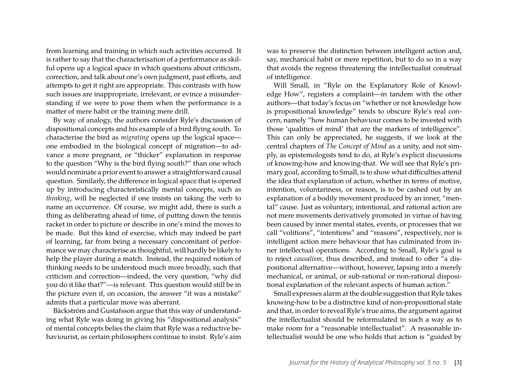from learning and training in which such activities occurred. It is rather to say that the characterisation of a performance as skilful opens up a logical space in which questions about criticism, correction, and talk about one's own judgment, past efforts, and attempts to get it right are appropriate. This contrasts with how such issues are inappropriate, irrelevant, or evince a misunderstanding if we were to pose them when the performance is a matter of mere habit or the training mere drill.

By way of analogy, the authors consider Ryle's discussion of dispositional concepts and his example of a bird flying south. To characterise the bird as *migrating* opens up the logical space one embodied in the biological concept of migration—to advance a more pregnant, or "thicker" explanation in response to the question "Why is the bird flying south?" than one which would nominate a prior event to answer a straightforward causal question. Similarly, the difference in logical space that is opened up by introducing characteristically mental concepts, such as *thinking*, will be neglected if one insists on taking the verb to name an occurrence. Of course, we might add, there is such a thing as deliberating ahead of time, of putting down the tennis racket in order to picture or describe in one's mind the moves to be made. But this kind of exercise, which may indeed be part of learning, far from being a necessary concomitant of performance we may characterise as thoughtful, will hardly be likely to help the player during a match. Instead, the required notion of thinking needs to be understood much more broadly, such that criticism and correction—indeed, the very question, "why did you do it like that?"—is relevant. This question would still be in the picture even if, on occasion, the answer "it was a mistake" admits that a particular move was aberrant.

Bäckström and Gustafsson argue that this way of understanding what Ryle was doing in giving his "dispositional analysis" of mental concepts belies the claim that Ryle was a reductive behaviourist, as certain philosophers continue to insist. Ryle's aim was to preserve the distinction between intelligent action and, say, mechanical habit or mere repetition, but to do so in a way that avoids the regress threatening the intellectualist construal of intelligence.

Will Small, in "Ryle on the Explanatory Role of Knowledge How", registers a complaint—in tandem with the other authors—that today's focus on "whether or not knowledge how is propositional knowledge" tends to obscure Ryle's real concern, namely "how human behaviour comes to be invested with those 'qualities of mind' that are the markers of intelligence". This can only be appreciated, he suggests, if we look at the central chapters of *The Concept of Mind* as a unity, and not simply, as epistemologists tend to do, at Ryle's explicit discussions of knowing-how and knowing-that. We will see that Ryle's primary goal, according to Small, is to show what difficulties attend the idea that explanation of action, whether in terms of motive, intention, voluntariness, or reason, is to be cashed out by an explanation of a bodily movement produced by an inner, "mental" cause. Just as voluntary, intentional, and rational action are not mere movements derivatively promoted in virtue of having been caused by inner mental states, events, or processes that we call "volitions", "intentions" and "reasons", respectively, nor is intelligent action mere behaviour that has culminated from inner intellectual operations. According to Small, Ryle's goal is to reject *causalism*, thus described, and instead to offer "a dispositional alternative—without, however, lapsing into a merely mechanical, or animal, or sub-rational or non-rational dispositional explanation of the relevant aspects of human action."

Small expresses alarm at the double suggestion that Ryle takes knowing-how to be a distinctive kind of non-propositional state and that, in order to reveal Ryle's true aims, the argument against the intellectualist should be reformulated in such a way as to make room for a "reasonable intellectualist". A reasonable intellectualist would be one who holds that action is "guided by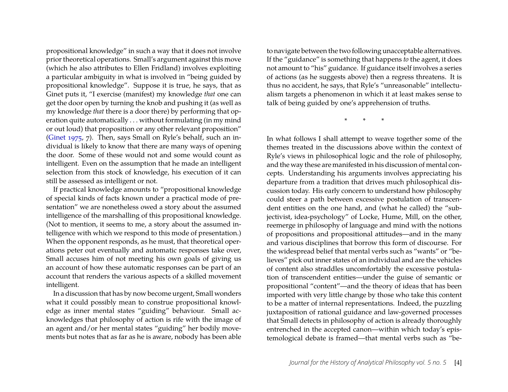propositional knowledge" in such a way that it does not involve prior theoretical operations. Small's argument against this move (which he also attributes to Ellen Fridland) involves exploiting a particular ambiguity in what is involved in "being guided by propositional knowledge". Suppose it is true, he says, that as Ginet puts it, "I exercise (manifest) my knowledge *that* one can get the door open by turning the knob and pushing it (as well as my knowledge *that* there is a door there) by performing that operation quite automatically . . . without formulating (in my mind or out loud) that proposition or any other relevant proposition" [\(Ginet](#page-15-0) [1975,](#page-15-0) 7). Then, says Small on Ryle's behalf, such an individual is likely to know that there are many ways of opening the door. Some of these would not and some would count as intelligent. Even on the assumption that he made an intelligent selection from this stock of knowledge, his execution of it can still be assessed as intelligent or not.

If practical knowledge amounts to "propositional knowledge of special kinds of facts known under a practical mode of presentation" we are nonetheless owed a story about the assumed intelligence of the marshalling of this propositional knowledge. (Not to mention, it seems to me, a story about the assumed intelligence with which we respond to this mode of presentation.) When the opponent responds, as he must, that theoretical operations peter out eventually and automatic responses take over, Small accuses him of not meeting his own goals of giving us an account of how these automatic responses can be part of an account that renders the various aspects of a skilled movement intelligent.

In a discussion that has by now become urgent, Small wonders what it could possibly mean to construe propositional knowledge as inner mental states "guiding" behaviour. Small acknowledges that philosophy of action is rife with the image of an agent and/or her mental states "guiding" her bodily movements but notes that as far as he is aware, nobody has been able

to navigate between the two following unacceptable alternatives. If the "guidance" is something that happens *to* the agent, it does not amount to "his" guidance. If guidance itself involves a series of actions (as he suggests above) then a regress threatens. It is thus no accident, he says, that Ryle's "unreasonable" intellectualism targets a phenomenon in which it at least makes sense to talk of being guided by one's apprehension of truths.

\* \* \*

In what follows I shall attempt to weave together some of the themes treated in the discussions above within the context of Ryle's views in philosophical logic and the role of philosophy, and the way these are manifested in his discussion of mental concepts. Understanding his arguments involves appreciating his departure from a tradition that drives much philosophical discussion today. His early concern to understand how philosophy could steer a path between excessive postulation of transcendent entities on the one hand, and (what he called) the "subjectivist, idea-psychology" of Locke, Hume, Mill, on the other, reemerge in philosophy of language and mind with the notions of propositions and propositional attitudes—and in the many and various disciplines that borrow this form of discourse. For the widespread belief that mental verbs such as "wants" or "believes" pick out inner states of an individual and are the vehicles of content also straddles uncomfortably the excessive postulation of transcendent entities—under the guise of semantic or propositional "content"—and the theory of ideas that has been imported with very little change by those who take this content to be a matter of internal representations. Indeed, the puzzling juxtaposition of rational guidance and law-governed processes that Small detects in philosophy of action is already thoroughly entrenched in the accepted canon—within which today's epistemological debate is framed—that mental verbs such as "be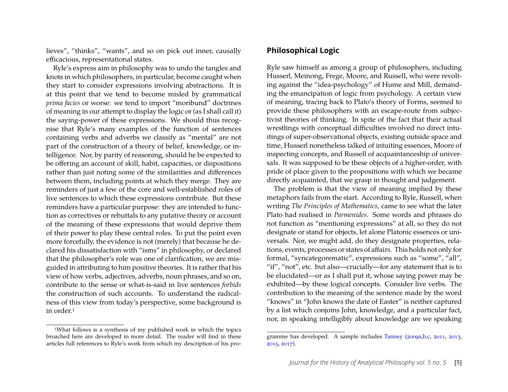lieves", "thinks", "wants", and so on pick out inner, causally efficacious, representational states.

Ryle's express aim in philosophy was to undo the tangles and knots in which philosophers, in particular, become caught when they start to consider expressions involving abstractions. It is at this point that we tend to become misled by grammatical *prima facies* or worse: we tend to import "moribund" doctrines of meaning in our attempt to display the logic or (as I shall call it) the saying-power of these expressions. We should thus recognise that Ryle's many examples of the function of sentences containing verbs and adverbs we classify as "mental" are not part of the construction of a theory of belief, knowledge, or intelligence. Nor, by parity of reasoning, should he be expected to be offering an account of skill, habit, capacities, or dispositions rather than just noting some of the similarities and differences between them, including points at which they merge. They are reminders of just a few of the core and well-established roles of live sentences to which these expressions contribute. But these reminders have a particular purpose: they are intended to function as correctives or rebuttals to any putative theory or account of the meaning of these expressions that would deprive them of their power to play these central roles. To put the point even more forcefully, the evidence is not (merely) that because he declared his dissatisfaction with "isms" in philosophy, or declared that the philosopher's role was one of clarification, we are misguided in attributing to him positive theories. It is rather that his view of how verbs, adjectives, adverbs, noun phrases, and so on, contribute to the sense or what-is-said in live sentences *forbids* the construction of such accounts. To understand the radicalness of this view from today's perspective, some background is in order.[1](#page-5-0)

#### **Philosophical Logic**

Ryle saw himself as among a group of philosophers, including Husserl, Meinong, Frege, Moore, and Russell, who were revolting against the "idea-psychology" of Hume and Mill, demanding the emancipation of logic from psychology. A certain view of meaning, tracing back to Plato's theory of Forms, seemed to provide these philosophers with an escape-route from subjectivist theories of thinking. In spite of the fact that their actual wrestlings with conceptual difficulties involved no direct intuitings of super-observational objects, existing outside space and time, Husserl nonetheless talked of intuiting essences, Moore of inspecting concepts, and Russell of acquaintanceship of universals. It was supposed to be these objects of a higher-order, with pride of place given to the propositions with which we became directly acquainted, that we grasp in thought and judgement.

The problem is that the view of meaning implied by these metaphors fails from the start. According to Ryle, Russell, when writing *The Principles of Mathematics*, came to see what the later Plato had realised in *Parmenides*. Some words and phrases do not function as "mentioning expressions" at all, so they do not designate or stand for objects, let alone Platonic essences or universals. Nor, we might add, do they designate properties, relations, events, processes or states of affairs. This holds not only for formal, "syncategorematic", expressions such as "some", "all", "if", "not", etc. but also—crucially—for any statement that is to be elucidated—or as I shall put it, whose saying power may be exhibited—by these logical concepts. Consider live verbs. The contribution to the meaning of the sentence made by the word "knows" in "John knows the date of Easter" is neither captured by a list which conjoins John, knowledge, and a particular fact, nor, in speaking intelligibly about knowledge are we speaking

<span id="page-5-0"></span><sup>1</sup>What follows is a synthesis of my published work in which the topics broached here are developed in more detail. The reader will find in these articles full references to Ryle's work from which my description of his pro-

gramme has developed. A sample includes [Tanney](#page-15-1) [\(2009a](#page-15-1)[,b](#page-15-2)[,c,](#page-15-3) [2011,](#page-15-4) [2013,](#page-15-5) [2015,](#page-15-6) [2017\)](#page-15-7).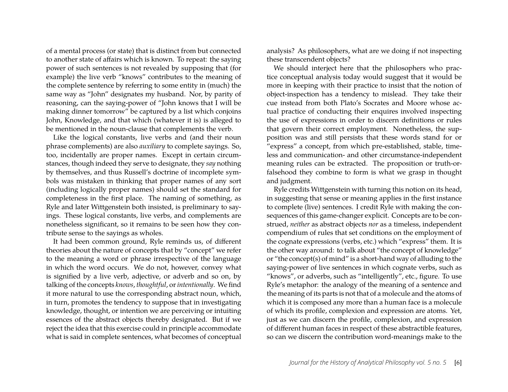of a mental process (or state) that is distinct from but connected to another state of affairs which is known. To repeat: the saying power of such sentences is not revealed by supposing that (for example) the live verb "knows" contributes to the meaning of the complete sentence by referring to some entity in (much) the same way as "John" designates my husband. Nor, by parity of reasoning, can the saying-power of "John knows that I will be making dinner tomorrow" be captured by a list which conjoins John, Knowledge, and that which (whatever it is) is alleged to be mentioned in the noun-clause that complements the verb.

Like the logical constants, live verbs and (and their noun phrase complements) are also *auxiliary* to complete sayings. So, too, incidentally are proper names. Except in certain circumstances, though indeed they serve to designate, they *say* nothing by themselves, and thus Russell's doctrine of incomplete symbols was mistaken in thinking that proper names of any sort (including logically proper names) should set the standard for completeness in the first place. The naming of something, as Ryle and later Wittgenstein both insisted, is preliminary to sayings. These logical constants, live verbs, and complements are nonetheless significant, so it remains to be seen how they contribute sense to the sayings as wholes.

It had been common ground, Ryle reminds us, of different theories about the nature of concepts that by "concept" we refer to the meaning a word or phrase irrespective of the language in which the word occurs. We do not, however, convey what is signified by a live verb, adjective, or adverb and so on, by talking of the concepts *knows*, *thoughtful*, or*intentionally*. We find it more natural to use the corresponding abstract noun, which, in turn, promotes the tendency to suppose that in investigating knowledge, thought, or intention we are perceiving or intuiting essences of the abstract objects thereby designated. But if we reject the idea that this exercise could in principle accommodate what is said in complete sentences, what becomes of conceptual analysis? As philosophers, what are we doing if not inspecting these transcendent objects?

We should interject here that the philosophers who practice conceptual analysis today would suggest that it would be more in keeping with their practice to insist that the notion of object-inspection has a tendency to mislead. They take their cue instead from both Plato's Socrates and Moore whose actual practice of conducting their enquires involved inspecting the use of expressions in order to discern definitions or rules that govern their correct employment. Nonetheless, the supposition was and still persists that these words stand for or "express" a concept, from which pre-established, stable, timeless and communication- and other circumstance-independent meaning rules can be extracted. The proposition or truth-orfalsehood they combine to form is what we grasp in thought and judgment.

Ryle credits Wittgenstein with turning this notion on its head, in suggesting that sense or meaning applies in the first instance to complete (live) sentences. I credit Ryle with making the consequences of this game-changer explicit. Concepts are to be construed, *neither* as abstract objects *nor* as a timeless, independent compendium of rules that set conditions on the employment of the cognate expressions (verbs, etc.) which "express" them. It is the other way around: to talk about "the concept of knowledge" or "the concept(s) of mind" is a short-hand way of alluding to the saying-power of live sentences in which cognate verbs, such as "knows", or adverbs, such as "intelligently", etc., figure. To use Ryle's metaphor: the analogy of the meaning of a sentence and the meaning of its parts is not that of a molecule and the atoms of which it is composed any more than a human face is a molecule of which its profile, complexion and expression are atoms. Yet, just as we can discern the profile, complexion, and expression of different human faces in respect of these abstractible features, so can we discern the contribution word-meanings make to the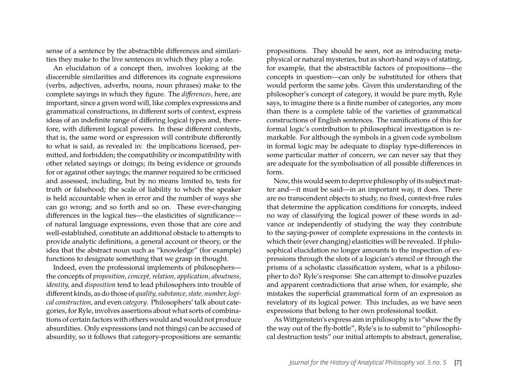sense of a sentence by the abstractible differences and similarities they make to the live sentences in which they play a role.

An elucidation of a concept then, involves looking at the discernible similarities and differences its cognate expressions (verbs, adjectives, adverbs, nouns, noun phrases) make to the complete sayings in which they figure. The *differences,* here, are important, since a given word will, like complex expressions and grammatical constructions, in different sorts of context, express ideas of an indefinite range of differing logical types and, therefore, with different logical powers. In these different contexts, that is, the same word or expression will contribute differently to what is said, as revealed in: the implications licensed, permitted, and forbidden; the compatibility or incompatibility with other related sayings or doings; its being evidence or grounds for or against other sayings; the manner required to be criticised and assessed, including, but by no means limited to, tests for truth or falsehood; the scale of liability to which the speaker is held accountable when in error and the number of ways she can go wrong; and so forth and so on. These ever-changing differences in the logical ties—the elasticities of significance of natural language expressions, even those that are core and well-established, constitute an additional obstacle to attempts to provide analytic definitions, a general account or theory, or the idea that the abstract noun such as "knowledge" (for example) functions to designate something that we grasp in thought.

Indeed, even the professional implements of philosophers the concepts of *proposition, concept, relation, application, aboutness, identity,* and *disposition* tend to lead philosophers into trouble of different kinds, as do those of *quality, substance, state, number, logical construction*, and even *category*. Philosophers' talk about categories, for Ryle, involves assertions about what sorts of combinations of certain factors with others would and would not produce absurdities. Only expressions (and not things) can be accused of absurdity, so it follows that category-propositions are semantic

propositions. They should be seen, not as introducing metaphysical or natural mysteries, but as short-hand ways of stating, for example, that the abstractible factors of propositions—the concepts in question—can only be substituted for others that would perform the same jobs. Given this understanding of the philosopher's concept of category, it would be pure myth, Ryle says, to imagine there is a finite number of categories, any more than there is a complete table of the varieties of grammatical constructions of English sentences. The ramifications of this for formal logic's contribution to philosophical investigation is remarkable. For although the symbols in a given code symbolism in formal logic may be adequate to display type-differences in some particular matter of concern, we can never say that they are adequate for the symbolisation of all possible differences in form.

Now, this would seem to deprive philosophy of its subject matter and—it must be said—in an important way, it does. There are no transcendent objects to study, no fixed, context-free rules that determine the application conditions for concepts, indeed no way of classifying the logical power of these words in advance or independently of studying the way they contribute to the saying-power of complete expressions in the contexts in which their (ever changing) elasticities will be revealed. If philosophical elucidation no longer amounts to the inspection of expressions through the slots of a logician's stencil or through the prisms of a scholastic classification system, what is a philosopher to do? Ryle's response: She can attempt to dissolve puzzles and apparent contradictions that arise when, for example, she mistakes the superficial grammatical form of an expression as revelatory of its logical power. This includes, as we have seen expressions that belong to her own professional toolkit.

AsWittgenstein's express aim in philosophy is to "show the fly the way out of the fly-bottle", Ryle's is to submit to "philosophical destruction tests" our initial attempts to abstract, generalise,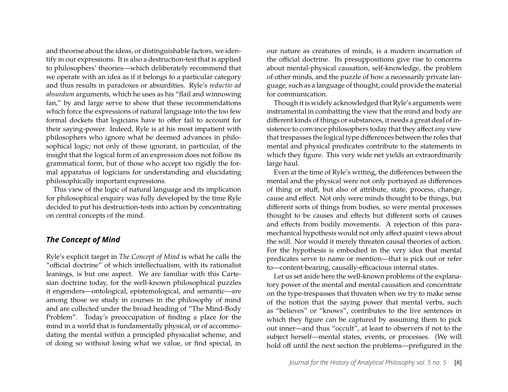and theorise about the ideas, or distinguishable factors, we identify in our expressions. It is also a destruction-test that is applied to philosophers' theories—which deliberately recommend that we operate with an idea as if it belongs to a particular category and thus results in paradoxes or absurdities. Ryle's *reductio ad absurdum* arguments, which he uses as his "flail and winnowing fan," by and large serve to show that these recommendations which force the expressions of natural language into the too few formal dockets that logicians have to offer fail to account for their saying-power. Indeed, Ryle is at his most impatient with philosophers who ignore what he deemed advances in philosophical logic; not only of those ignorant, in particular, of the insight that the logical form of an expression does not follow its grammatical form, but of those who accept too rigidly the formal apparatus of logicians for understanding and elucidating philosophically important expressions.

This view of the logic of natural language and its implication for philosophical enquiry was fully developed by the time Ryle decided to put his destruction-tests into action by concentrating on central concepts of the mind.

#### *The Concept of Mind*

Ryle's explicit target in *The Concept of Mind* is what he calls the "official doctrine" of which intellectualism, with its rationalist leanings, is but one aspect. We are familiar with this Cartesian doctrine today, for the well-known philosophical puzzles it engenders—ontological, epistemological, and semantic—are among those we study in courses in the philosophy of mind and are collected under the broad heading of "The Mind-Body Problem". Today's preoccupation of finding a place for the mind in a world that is fundamentally physical, or of accommodating the mental within a principled physicalist scheme, and of doing so without losing what we value, or find special, in our nature as creatures of minds, is a modern incarnation of the official doctrine. Its presuppositions give rise to concerns about mental-physical causation, self-knowledge, the problem of other minds, and the puzzle of how a necessarily private language, such as a language of thought, could provide the material for communication.

Though it is widely acknowledged that Ryle's arguments were instrumental in combatting the view that the mind and body are different kinds of things or substances, it needs a great deal of insistence to convince philosophers today that they affect *any* view that trespasses the logical type differences between the roles that mental and physical predicates contribute to the statements in which they figure. This very wide net yields an extraordinarily large haul.

Even at the time of Ryle's writing, the differences between the mental and the physical were not only portrayed as differences of thing or stuff, but also of attribute, state, process, change, cause and effect. Not only were minds thought to be things, but different sorts of things from bodies, so were mental processes thought to be causes and effects but different sorts of causes and effects from bodily movements. A rejection of this paramechanical hypothesis would not only affect quaint views about the will. Nor would it merely threaten causal theories of action. For the hypothesis is embodied in the very idea that mental predicates serve to name or mention—that is pick out or refer to—content-bearing, causally-efficacious internal states.

Let us set aside here the well-known problems of the explanatory power of the mental and mental causation and concentrate on the type-trespasses that threaten when we try to make sense of the notion that the saying power that mental verbs, such as "believes" or "knows", contributes to the live sentences in which they figure can be captured by assuming them to pick out inner—and thus "occult", at least to observers if not to the subject herself—mental states, events, or processes. (We will hold off until the next section the problems—prefigured in the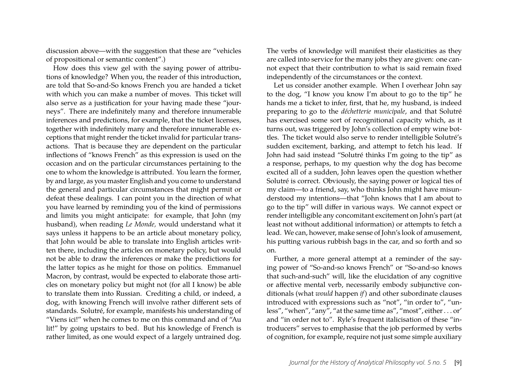discussion above—with the suggestion that these are "vehicles of propositional or semantic content".)

How does this view gel with the saying power of attributions of knowledge? When you, the reader of this introduction, are told that So-and-So knows French you are handed a ticket with which you can make a number of moves. This ticket will also serve as a justification for your having made these "journeys". There are indefinitely many and therefore innumerable inferences and predictions, for example, that the ticket licenses, together with indefinitely many and therefore innumerable exceptions that might render the ticket invalid for particular transactions. That is because they are dependent on the particular inflections of "knows French" as this expression is used on the occasion and on the particular circumstances pertaining to the one to whom the knowledge is attributed. You learn the former, by and large, as you master English and you come to understand the general and particular circumstances that might permit or defeat these dealings. I can point you in the direction of what you have learned by reminding you of the kind of permissions and limits you might anticipate: for example, that John (my husband), when reading *Le Monde,* would understand what it says unless it happens to be an article about monetary policy, that John would be able to translate into English articles written there, including the articles on monetary policy, but would not be able to draw the inferences or make the predictions for the latter topics as he might for those on politics. Emmanuel Macron, by contrast, would be expected to elaborate those articles on monetary policy but might not (for all I know) be able to translate them into Russian. Crediting a child, or indeed, a dog, with knowing French will involve rather different sets of standards. Solutré, for example, manifests his understanding of "Viens ici!" when he comes to me on this command and of "Au lit!" by going upstairs to bed. But his knowledge of French is rather limited, as one would expect of a largely untrained dog.

The verbs of knowledge will manifest their elasticities as they are called into service for the many jobs they are given: one cannot expect that their contribution to what is said remain fixed independently of the circumstances or the context.

Let us consider another example. When I overhear John say to the dog, "I know you know I'm about to go to the tip" he hands me a ticket to infer, first, that he, my husband, is indeed preparing to go to the *déchetterie municipale*, and that Solutré has exercised some sort of recognitional capacity which, as it turns out, was triggered by John's collection of empty wine bottles. The ticket would also serve to render intelligible Solutré's sudden excitement, barking, and attempt to fetch his lead. If John had said instead "Solutré thinks I'm going to the tip" as a response, perhaps, to my question why the dog has become excited all of a sudden, John leaves open the question whether Solutré is correct. Obviously, the saying power or logical ties of my claim—to a friend, say, who thinks John might have misunderstood my intentions—that "John knows that I am about to go to the tip" will differ in various ways. We cannot expect or render intelligible any concomitant excitement on John's part (at least not without additional information) or attempts to fetch a lead. We can, however, make sense of John's look of amusement, his putting various rubbish bags in the car, and so forth and so on.

Further, a more general attempt at a reminder of the saying power of "So-and-so knows French" or "So-and-so knows that such-and-such" will, like the elucidation of any cognitive or affective mental verb, necessarily embody subjunctive conditionals (what *would* happen *if*) and other subordinate clauses introduced with expressions such as "not", "in order to", "unless", "when", "any", "at the same time as", "most", either . . . or' and "in order not to". Ryle's frequent italicisation of these "introducers" serves to emphasise that the job performed by verbs of cognition, for example, require not just some simple auxiliary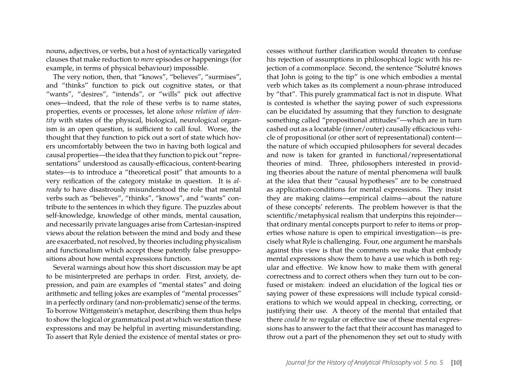nouns, adjectives, or verbs, but a host of syntactically variegated clauses that make reduction to *mere* episodes or happenings (for example, in terms of physical behaviour) impossible.

The very notion, then, that "knows", "believes", "surmises", and "thinks" function to pick out cognitive states, or that "wants", "desires", "intends", or "wills" pick out affective ones—indeed, that the role of these verbs is to name states, properties, events or processes, let alone *whose relation of identity* with states of the physical, biological, neurological organism is an open question, is sufficient to call foul. Worse, the thought that they function to pick out a sort of state which hovers uncomfortably between the two in having both logical and causal properties—the idea that they function to pick out "representations" understood as causally-efficacious, content-bearing states—is to introduce a "theoretical posit" that amounts to a very reification of the category mistake in question. It is *already* to have disastrously misunderstood the role that mental verbs such as "believes", "thinks", "knows", and "wants" contribute to the sentences in which they figure. The puzzles about self-knowledge, knowledge of other minds, mental causation, and necessarily private languages arise from Cartesian-inspired views about the relation between the mind and body and these are exacerbated, not resolved, by theories including physicalism and functionalism which accept these patently false presuppositions about how mental expressions function.

Several warnings about how this short discussion may be apt to be misinterpreted are perhaps in order. First, anxiety, depression, and pain are examples of "mental states" and doing arithmetic and telling jokes are examples of "mental processes" in a perfectly ordinary (and non-problematic) sense of the terms. To borrow Wittgenstein's metaphor, describing them thus helps to show the logical or grammatical post at which we station these expressions and may be helpful in averting misunderstanding. To assert that Ryle denied the existence of mental states or pro-

cesses without further clarification would threaten to confuse his rejection of assumptions in philosophical logic with his rejection of a commonplace. Second, the sentence "Solutré knows that John is going to the tip" is one which embodies a mental verb which takes as its complement a noun-phrase introduced by "that". This purely grammatical fact is not in dispute. What is contested is whether the saying power of such expressions can be elucidated by assuming that they function to designate something called "propositional attitudes"—which are in turn cashed out as a locatable (inner/outer) causally efficacious vehicle of propositional (or other sort of representational) content the nature of which occupied philosophers for several decades and now is taken for granted in functional/representational theories of mind. Three, philosophers interested in providing theories about the nature of mental phenomena will baulk at the idea that their "causal hypotheses" are to be construed as application-conditions for mental expressions. They insist they are making claims—empirical claims—about the nature of these concepts' referents. The problem however is that the scientific/metaphysical realism that underpins this rejoinder that ordinary mental concepts purport to refer to items or properties whose nature is open to empirical investigation—is precisely what Ryle is challenging. Four, one argument he marshals against this view is that the comments we make that embody mental expressions show them to have a use which is both regular and effective. We know how to make them with general correctness and to correct others when they turn out to be confused or mistaken: indeed an elucidation of the logical ties or saying power of these expressions will include typical considerations to which we would appeal in checking, correcting, or justifying their use. A theory of the mental that entailed that there *could be no* regular or effective use of these mental expressions has to answer to the fact that their account has managed to throw out a part of the phenomenon they set out to study with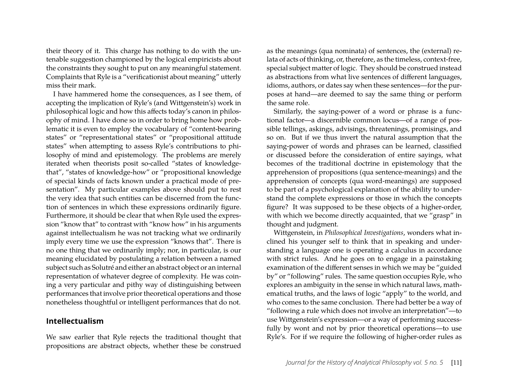their theory of it. This charge has nothing to do with the untenable suggestion championed by the logical empiricists about the constraints they sought to put on any meaningful statement. Complaints that Ryle is a "verificationist about meaning" utterly miss their mark.

I have hammered home the consequences, as I see them, of accepting the implication of Ryle's (and Wittgenstein's) work in philosophical logic and how this affects today's canon in philosophy of mind. I have done so in order to bring home how problematic it is even to employ the vocabulary of "content-bearing states" or "representational states" or "propositional attitude states" when attempting to assess Ryle's contributions to philosophy of mind and epistemology. The problems are merely iterated when theorists posit so-called "states of knowledgethat", "states of knowledge-how" or "propositional knowledge of special kinds of facts known under a practical mode of presentation". My particular examples above should put to rest the very idea that such entities can be discerned from the function of sentences in which these expressions ordinarily figure. Furthermore, it should be clear that when Ryle used the expression "know that" to contrast with "know how" in his arguments against intellectualism he was not tracking what we ordinarily imply every time we use the expression "knows that". There is no one thing that we ordinarily imply; nor, in particular, is our meaning elucidated by postulating a relation between a named subject such as Solutré and either an abstract object or an internal representation of whatever degree of complexity. He was coining a very particular and pithy way of distinguishing between performances that involve prior theoretical operations and those nonetheless thoughtful or intelligent performances that do not.

#### **Intellectualism**

We saw earlier that Ryle rejects the traditional thought that propositions are abstract objects, whether these be construed

as the meanings (qua nominata) of sentences, the (external) relata of acts of thinking, or, therefore, as the timeless, context-free, special subject matter of logic. They should be construed instead as abstractions from what live sentences of different languages, idioms, authors, or dates say when these sentences—for the purposes at hand—are deemed to say the same thing or perform the same role.

Similarly, the saying-power of a word or phrase is a functional factor—a discernible common locus—of a range of possible tellings, askings, advisings, threatenings, promisings, and so on. But if we thus invert the natural assumption that the saying-power of words and phrases can be learned, classified or discussed before the consideration of entire sayings, what becomes of the traditional doctrine in epistemology that the apprehension of propositions (qua sentence-meanings) and the apprehension of concepts (qua word-meanings) are supposed to be part of a psychological explanation of the ability to understand the complete expressions or those in which the concepts figure? It was supposed to be these objects of a higher-order, with which we become directly acquainted, that we "grasp" in thought and judgment.

Wittgenstein, in *Philosophical Investigations*, wonders what inclined his younger self to think that in speaking and understanding a language one is operating a calculus in accordance with strict rules. And he goes on to engage in a painstaking examination of the different senses in which we may be "guided by" or "following" rules. The same question occupies Ryle, who explores an ambiguity in the sense in which natural laws, mathematical truths, and the laws of logic "apply" to the world, and who comes to the same conclusion. There had better be a way of "following a rule which does not involve an interpretation"—to use Wittgenstein's expression—or a way of performing successfully by wont and not by prior theoretical operations—to use Ryle's. For if we require the following of higher-order rules as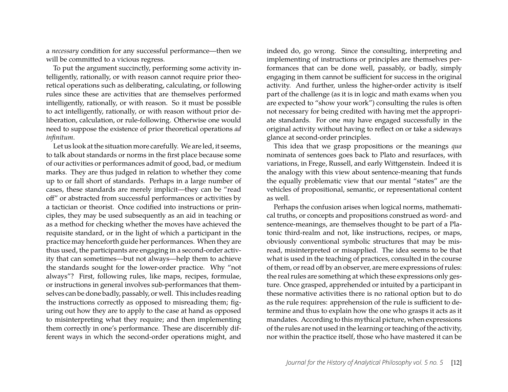a *necessary* condition for any successful performance—then we will be committed to a vicious regress.

To put the argument succinctly, performing some activity intelligently, rationally, or with reason cannot require prior theoretical operations such as deliberating, calculating, or following rules since these are activities that are themselves performed intelligently, rationally, or with reason. So it must be possible to act intelligently, rationally, or with reason without prior deliberation, calculation, or rule-following. Otherwise one would need to suppose the existence of prior theoretical operations *ad infinitum*.

Let us look at the situation more carefully. We are led, it seems, to talk about standards or norms in the first place because some of our activities or performances admit of good, bad, or medium marks. They are thus judged in relation to whether they come up to or fall short of standards. Perhaps in a large number of cases, these standards are merely implicit—they can be "read off" or abstracted from successful performances or activities by a tactician or theorist. Once codified into instructions or principles, they may be used subsequently as an aid in teaching or as a method for checking whether the moves have achieved the requisite standard, or in the light of which a participant in the practice may henceforth guide her performances. When they are thus used, the participants are engaging in a second-order activity that can sometimes—but not always—help them to achieve the standards sought for the lower-order practice. Why "not always"? First, following rules, like maps, recipes, formulae, or instructions in general involves sub-performances that themselves can be done badly, passably, or well. This includes reading the instructions correctly as opposed to misreading them; figuring out how they are to apply to the case at hand as opposed to misinterpreting what they require; and then implementing them correctly in one's performance. These are discernibly different ways in which the second-order operations might, and

indeed do, go wrong. Since the consulting, interpreting and implementing of instructions or principles are themselves performances that can be done well, passably, or badly, simply engaging in them cannot be sufficient for success in the original activity. And further, unless the higher-order activity is itself part of the challenge (as it is in logic and math exams when you are expected to "show your work") consulting the rules is often not necessary for being credited with having met the appropriate standards. For one *may* have engaged successfully in the original activity without having to reflect on or take a sideways glance at second-order principles.

This idea that we grasp propositions or the meanings *qua* nominata of sentences goes back to Plato and resurfaces, with variations, in Frege, Russell, and early Wittgenstein. Indeed it is the analogy with this view about sentence-meaning that funds the equally problematic view that our mental "states" are the vehicles of propositional, semantic, or representational content as well.

Perhaps the confusion arises when logical norms, mathematical truths, or concepts and propositions construed as word- and sentence-meanings, are themselves thought to be part of a Platonic third-realm and not, like instructions, recipes, or maps, obviously conventional symbolic structures that may be misread, misinterpreted or misapplied. The idea seems to be that what is used in the teaching of practices, consulted in the course of them, or read off by an observer, are mere expressions of rules: the real rules are something at which these expressions only gesture. Once grasped, apprehended or intuited by a participant in these normative activities there is no rational option but to do as the rule requires: apprehension of the rule is sufficient to determine and thus to explain how the one who grasps it acts as it mandates. According to this mythical picture, when expressions of the rules are not used in the learning or teaching of the activity, nor within the practice itself, those who have mastered it can be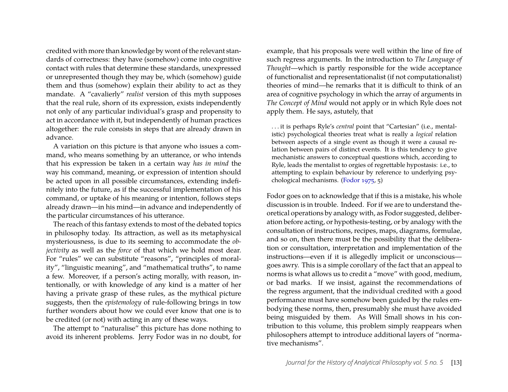credited with more than knowledge by wont of the relevant standards of correctness: they have (somehow) come into cognitive contact with rules that determine these standards, unexpressed or unrepresented though they may be, which (somehow) guide them and thus (somehow) explain their ability to act as they mandate. A "cavalierly" *realist* version of this myth supposes that the real rule, shorn of its expression, exists independently not only of any particular individual's grasp and propensity to act in accordance with it, but independently of human practices altogether: the rule consists in steps that are already drawn in advance.

A variation on this picture is that anyone who issues a command, who means something by an utterance, or who intends that his expression be taken in a certain way *has in mind* the way his command, meaning, or expression of intention should be acted upon in all possible circumstances, extending indefinitely into the future, as if the successful implementation of his command, or uptake of his meaning or intention, follows steps already drawn—in his mind—in advance and independently of the particular circumstances of his utterance.

The reach of this fantasy extends to most of the debated topics in philosophy today. Its attraction, as well as its metaphysical mysteriousness, is due to its seeming to accommodate the *objectivity* as well as the *force* of that which we hold most dear. For "rules" we can substitute "reasons", "principles of morality", "linguistic meaning", and "mathematical truths", to name a few. Moreover, if a person's acting morally, with reason, intentionally, or with knowledge of any kind is a matter of her having a private grasp of these rules, as the mythical picture suggests, then the *epistemology* of rule-following brings in tow further wonders about how we could ever know that one is to be credited (or not) with acting in any of these ways.

The attempt to "naturalise" this picture has done nothing to avoid its inherent problems. Jerry Fodor was in no doubt, for example, that his proposals were well within the line of fire of such regress arguments. In the introduction to *The Language of Thought*—which is partly responsible for the wide acceptance of functionalist and representationalist (if not computationalist) theories of mind—he remarks that it is difficult to think of an area of cognitive psychology in which the array of arguments in *The Concept of Mind* would not apply or in which Ryle does not apply them. He says, astutely, that

. . . it is perhaps Ryle's *central* point that "Cartesian" (i.e., mentalistic) psychological theories treat what is really a *logical* relation between aspects of a single event as though it were a causal relation between pairs of distinct events. It is this tendency to give mechanistic answers to conceptual questions which, according to Ryle, leads the mentalist to orgies of regrettable hypostasis: i.e., to attempting to explain behaviour by reference to underlying psychological mechanisms. [\(Fodor](#page-15-8) [1975,](#page-15-8) 5)

Fodor goes on to acknowledge that if this is a mistake, his whole discussion is in trouble. Indeed. For if we are to understand theoretical operations by analogy with, as Fodor suggested, deliberation before acting, or hypothesis-testing, or by analogy with the consultation of instructions, recipes, maps, diagrams, formulae, and so on, then there must be the possibility that the deliberation or consultation, interpretation and implementation of the instructions—even if it is allegedly implicit or unconscious goes awry. This is a simple corollary of the fact that an appeal to norms is what allows us to credit a "move" with good, medium, or bad marks. If we insist, against the recommendations of the regress argument, that the individual credited with a good performance must have somehow been guided by the rules embodying these norms, then, presumably she must have avoided being misguided by them. As Will Small shows in his contribution to this volume, this problem simply reappears when philosophers attempt to introduce additional layers of "normative mechanisms".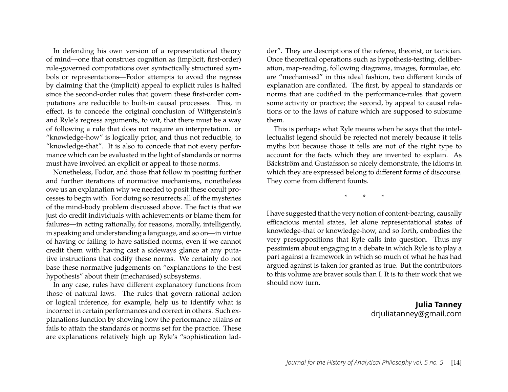In defending his own version of a representational theory of mind—one that construes cognition as (implicit, first-order) rule-governed computations over syntactically structured symbols or representations—Fodor attempts to avoid the regress by claiming that the (implicit) appeal to explicit rules is halted since the second-order rules that govern these first-order computations are reducible to built-in causal processes. This, in effect, is to concede the original conclusion of Wittgenstein's and Ryle's regress arguments, to wit, that there must be a way of following a rule that does not require an interpretation. or "knowledge-how" is logically prior, and thus not reducible, to "knowledge-that". It is also to concede that not every performance which can be evaluated in the light of standards or norms must have involved an explicit or appeal to those norms.

Nonetheless, Fodor, and those that follow in positing further and further iterations of normative mechanisms, nonetheless owe us an explanation why we needed to posit these occult processes to begin with. For doing so resurrects all of the mysteries of the mind-body problem discussed above. The fact is that we just do credit individuals with achievements or blame them for failures—in acting rationally, for reasons, morally, intelligently, in speaking and understanding a language, and so on—in virtue of having or failing to have satisfied norms, even if we cannot credit them with having cast a sideways glance at any putative instructions that codify these norms. We certainly do not base these normative judgements on "explanations to the best hypothesis" about their (mechanised) subsystems.

In any case, rules have different explanatory functions from those of natural laws. The rules that govern rational action or logical inference, for example, help us to identify what is incorrect in certain performances and correct in others. Such explanations function by showing how the performance attains or fails to attain the standards or norms set for the practice. These are explanations relatively high up Ryle's "sophistication lad-

der". They are descriptions of the referee, theorist, or tactician. Once theoretical operations such as hypothesis-testing, deliberation, map-reading, following diagrams, images, formulae, etc. are "mechanised" in this ideal fashion, two different kinds of explanation are conflated. The first, by appeal to standards or norms that are codified in the performance-rules that govern some activity or practice; the second, by appeal to causal relations or to the laws of nature which are supposed to subsume them.

This is perhaps what Ryle means when he says that the intellectualist legend should be rejected not merely because it tells myths but because those it tells are not of the right type to account for the facts which they are invented to explain. As Bäckström and Gustafsson so nicely demonstrate, the idioms in which they are expressed belong to different forms of discourse. They come from different founts.

\* \* \*

I have suggested that the very notion of content-bearing, causally efficacious mental states, let alone representational states of knowledge-that or knowledge-how, and so forth, embodies the very presuppositions that Ryle calls into question. Thus my pessimism about engaging in a debate in which Ryle is to play a part against a framework in which so much of what he has had argued against is taken for granted as true. But the contributors to this volume are braver souls than I. It is to their work that we should now turn.

> **Julia Tanney** drjuliatanney@gmail.com